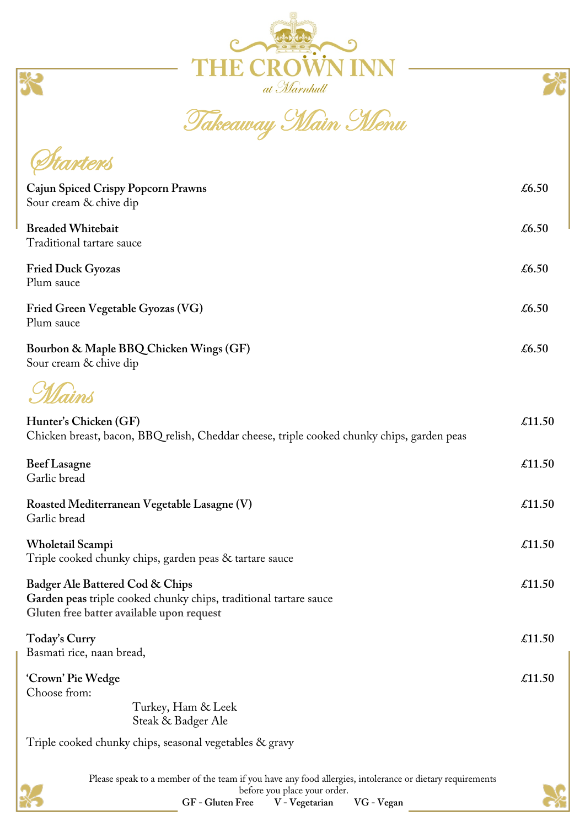



Takeaway Main Menu

| <b><i>Planters</i></b>                                                                                                                            |                                                         |        |  |
|---------------------------------------------------------------------------------------------------------------------------------------------------|---------------------------------------------------------|--------|--|
| Cajun Spiced Crispy Popcorn Prawns<br>Sour cream & chive dip                                                                                      |                                                         |        |  |
| <b>Breaded Whitebait</b><br>Traditional tartare sauce                                                                                             |                                                         |        |  |
| <b>Fried Duck Gyozas</b><br>Plum sauce                                                                                                            |                                                         |        |  |
| Fried Green Vegetable Gyozas (VG)<br>Plum sauce                                                                                                   |                                                         |        |  |
| Bourbon & Maple BBQ Chicken Wings (GF)<br>Sour cream & chive dip                                                                                  |                                                         |        |  |
| Mains                                                                                                                                             |                                                         |        |  |
| Hunter's Chicken (GF)<br>Chicken breast, bacon, BBQ relish, Cheddar cheese, triple cooked chunky chips, garden peas                               |                                                         |        |  |
| <b>Beef</b> Lasagne<br>Garlic bread                                                                                                               |                                                         | £11.50 |  |
| Roasted Mediterranean Vegetable Lasagne (V)<br>Garlic bread                                                                                       |                                                         |        |  |
| Wholetail Scampi                                                                                                                                  | Triple cooked chunky chips, garden peas & tartare sauce | £11.50 |  |
| Badger Ale Battered Cod & Chips<br>Garden peas triple cooked chunky chips, traditional tartare sauce<br>Gluten free batter available upon request |                                                         |        |  |
| Today's Curry<br>Basmati rice, naan bread,                                                                                                        |                                                         | £11.50 |  |
| 'Crown' Pie Wedge<br>Choose from:                                                                                                                 | Turkey, Ham & Leek<br>Steak & Badger Ale                | £11.50 |  |
|                                                                                                                                                   |                                                         |        |  |

Triple cooked chunky chips, seasonal vegetables & gravy

Starters



Please speak to a member of the team if you have any food allergies, intolerance or dietary requirements

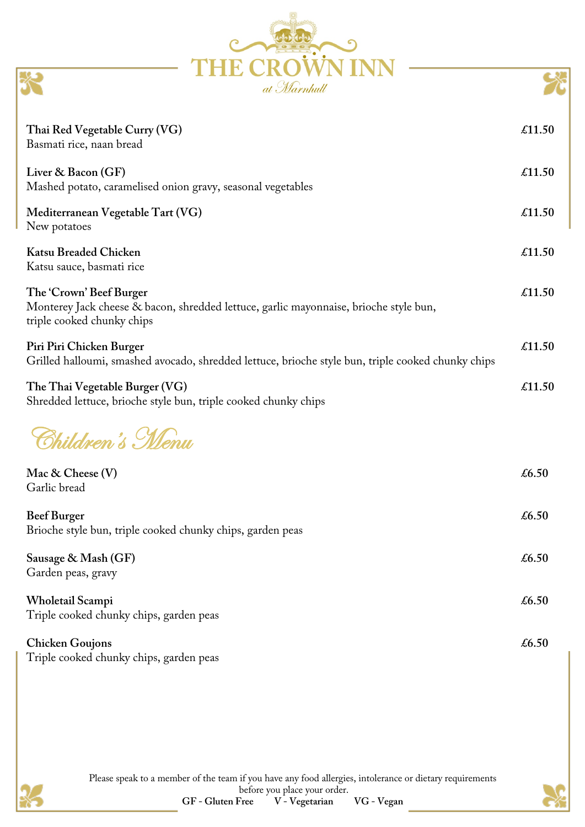| at Marnhull                                                                                                                                    |        |
|------------------------------------------------------------------------------------------------------------------------------------------------|--------|
| Thai Red Vegetable Curry (VG)<br>Basmati rice, naan bread                                                                                      | £11.50 |
| Liver & Bacon (GF)<br>Mashed potato, caramelised onion gravy, seasonal vegetables                                                              | £11.50 |
| Mediterranean Vegetable Tart (VG)<br>New potatoes                                                                                              | £11.50 |
| <b>Katsu Breaded Chicken</b><br>Katsu sauce, basmati rice                                                                                      | £11.50 |
| The 'Crown' Beef Burger<br>Monterey Jack cheese & bacon, shredded lettuce, garlic mayonnaise, brioche style bun,<br>triple cooked chunky chips | £11.50 |
| Piri Piri Chicken Burger<br>Grilled halloumi, smashed avocado, shredded lettuce, brioche style bun, triple cooked chunky chips                 | £11.50 |
| The Thai Vegetable Burger (VG)<br>Shredded lettuce, brioche style bun, triple cooked chunky chips                                              | £11.50 |
| Shildren's Menu                                                                                                                                |        |
| Mac & Cheese (V)<br>Garlic bread                                                                                                               | £6.50  |
| <b>Beef Burger</b><br>Brioche style bun, triple cooked chunky chips, garden peas                                                               | £6.50  |
| Sausage & Mash (GF)<br>Garden peas, gravy                                                                                                      | £6.50  |
| Wholetail Scampi<br>Triple cooked chunky chips, garden peas                                                                                    | £6.50  |
| <b>Chicken Goujons</b><br>Triple cooked chunky chips, garden peas                                                                              | £6.50  |
|                                                                                                                                                |        |

poodoof popoodo

E